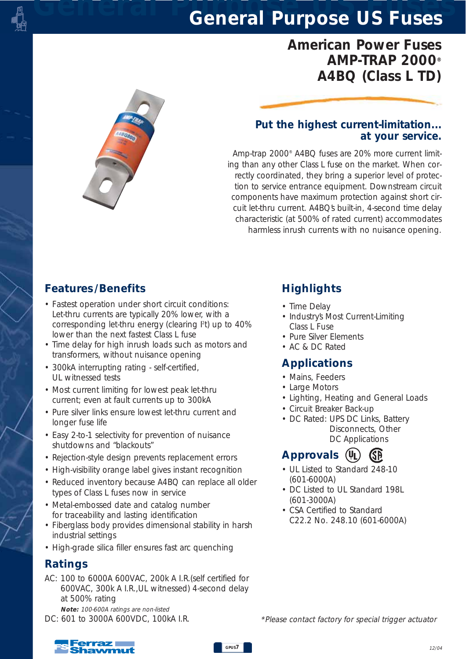## *American Power Fuses AMP-TRAP 2000® A4BQ (Class L TD)*



#### *Put the highest current-limitation... at your service.*

*Amp-trap 2000® A4BQ fuses are 20% more current limiting than any other Class L fuse on the market. When correctly coordinated, they bring a superior level of protection to service entrance equipment. Downstream circuit components have maximum protection against short circuit let-thru current. A4BQ's built-in, 4-second time delay characteristic (at 500% of rated current) accommodates harmless inrush currents with no nuisance opening.*

### *Features /Benefits*

- *Fastest operation under short circuit conditions: Let-thru currents are typically 20% lower, with a corresponding let-thru energy (clearing I2 t) up to 40% lower than the next fastest Class L fuse*
- *Time delay for high inrush loads such as motors and transformers, without nuisance opening*
- *300kA interrupting rating self-certified, UL witnessed tests*
- *Most current limiting for lowest peak let-thru current; even at fault currents up to 300kA*
- *Pure silver links ensure lowest let-thru current and longer fuse life*
- *Easy 2-to-1 selectivity for prevention of nuisance shutdowns and "blackouts"*
- *Rejection-style design prevents replacement errors*
- *High-visibility orange label gives instant recognition*
- *Reduced inventory because A4BQ can replace all older types of Class L fuses now in service*
- *Metal-embossed date and catalog number for traceability and lasting identification*
- *Fiberglass body provides dimensional stability in harsh industrial settings*
- *High-grade silica filler ensures fast arc quenching*

#### *Ratings*

- *AC: 100 to 6000A 600VAC, 200k A I.R.(self certified for 600VAC, 300k A I.R.,UL witnessed) 4-second delay at 500% rating*
- *Note: 100-600A ratings are non-listed DC: 601 to 3000A 600VDC, 100kA I.R.*

## *Highlights*

- *Time Delay*
- *Industry's Most Current-Limiting Class L Fuse*
- *Pure Silver Elements*
- *AC & DC Rated*

### *Applications*

- *Mains, Feeders*
- *Large Motors*
- *Lighting, Heating and General Loads*
- *Circuit Breaker Back-up*
- *DC Rated: UPS DC Links, Battery Disconnects, Other DC Applications*

## *Approvals*

- *UL Listed to Standard 248-10 (601-6000A)*
- *DC Listed to UL Standard 198L (601-3000A)*
- *CSA Certified to Standard C22.2 No. 248.10 (601-6000A)*

*\*Please contact factory for special trigger actuator* 

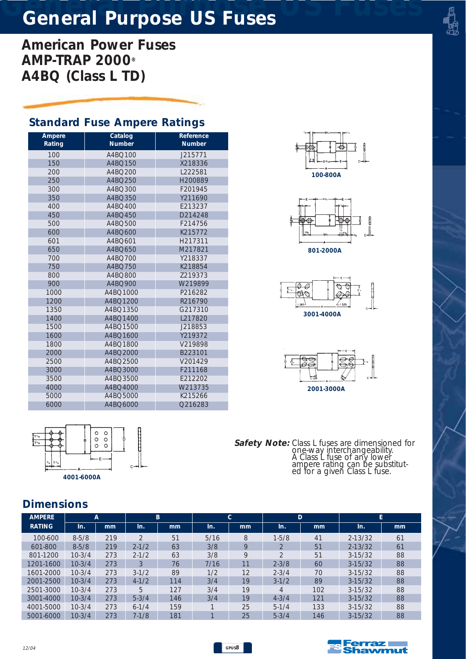*American Power Fuses AMP-TRAP 2000® A4BQ (Class L TD)*

### *Standard Fuse Ampere Ratings*

| Ampere<br>Rating | Catalog<br><b>Number</b> | Reference<br><b>Number</b> |
|------------------|--------------------------|----------------------------|
| 100              | A4BO100                  | J215771                    |
| 150              | A4BQ150                  | X218336                    |
| 200              | A4BO200                  | L222581                    |
| 250              | A4BQ250                  | H200889                    |
| 300              | A4BQ300                  | F201945                    |
| 350              | A4BO350                  | Y211690                    |
| 400              | A4BO400                  | E213237                    |
| 450              | A4BO450                  | D214248                    |
| 500              | A4BQ500                  | F214756                    |
| 600              | A4BQ600                  | K215772                    |
| 601              | A4BO601                  | H217311                    |
| 650              | A4BQ650                  | M217821                    |
| 700              | A4BO700                  | Y218337                    |
| 750              | A4BO750                  | K218854                    |
| 800              | A4BQ800                  | 7219373                    |
| 900              | A4BQ900                  | W219899                    |
| 1000             | A4BO1000                 | P216282                    |
| 1200             | A4BQ1200                 | R216790                    |
| 1350             | A4BQ1350                 | G217310                    |
| 1400             | A4BO1400                 | L217820                    |
| 1500             | A4BQ1500                 | J218853                    |
| 1600             | A4BQ1600                 | Y219372                    |
| 1800             | A4BO1800                 | V219898                    |
| 2000             | A4BQ2000                 | B223101                    |
| 2500             | A4BQ2500                 | V201429                    |
| 3000             | A4BQ3000                 | F211168                    |
| 3500             | A4BQ3500                 | F212202                    |
| 4000             | A4BQ4000                 | W213735                    |
| 5000             | A4BO5000                 | K215266                    |
| 6000             | A4BO6000                 | O216283                    |









 $\circ$  $\circ$  $\circ$  $\circ$  $\circ$ *4001-6000A*

*Safety Note: Class L fuses are dimensioned for one-way interchangeability. A Class L fuse of any lower ampere rating can be substituted for a given Class L fuse.*

#### *Dimensions*

| <b>AMPERE</b> | A         |     |           | B   |      | C  |           | D   | E           |    |  |  |
|---------------|-----------|-----|-----------|-----|------|----|-----------|-----|-------------|----|--|--|
| <b>RATING</b> | In.       | mm  | In.       | mm  | In.  | mm | In.       | mm  | In.         | mm |  |  |
| 100-600       | $8 - 5/8$ | 219 | $\bigcap$ | 51  | 5/16 | 8  | $1 - 5/8$ | 41  | $2 - 13/32$ | 61 |  |  |
| 601-800       | $8 - 5/8$ | 219 | $2 - 1/2$ | 63  | 3/8  | 9  |           | 51  | $2 - 13/32$ | 61 |  |  |
| 801-1200      | $10-3/4$  | 273 | $2 - 1/2$ | 63  | 3/8  | 9  |           | 51  | $3-15/32$   | 88 |  |  |
| 1201-1600     | $10-3/4$  | 273 | 3         | 76  | 7/16 | 11 | $2 - 3/8$ | 60  | $3-15/32$   | 88 |  |  |
| 1601-2000     | $10-3/4$  | 273 | $3-1/2$   | 89  | 1/2  | 12 | $2 - 3/4$ | 70  | $3-15/32$   | 88 |  |  |
| 2001-2500     | $10-3/4$  | 273 | $4 - 1/2$ | 114 | 3/4  | 19 | $3 - 1/2$ | 89  | $3-15/32$   | 88 |  |  |
| 2501-3000     | $10-3/4$  | 273 | 5         | 127 | 3/4  | 19 | Δ         | 102 | $3-15/32$   | 88 |  |  |
| 3001-4000     | $10-3/4$  | 273 | $5 - 3/4$ | 146 | 3/4  | 19 | $4 - 3/4$ | 121 | $3-15/32$   | 88 |  |  |
| 4001-5000     | $10-3/4$  | 273 | $6-1/4$   | 159 |      | 25 | $5-1/4$   | 133 | $3-15/32$   | 88 |  |  |
| 5001-6000     | $10-3/4$  | 273 | $7 - 1/8$ | 181 |      | 25 | $5 - 3/4$ | 146 | $3-15/32$   | 88 |  |  |

*GPUS8*

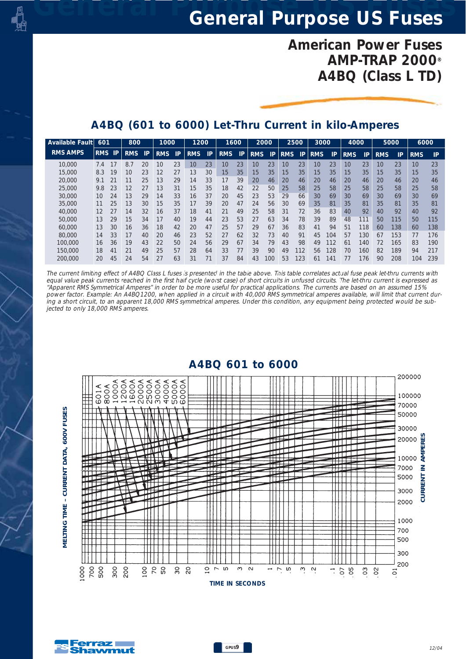## *American Power Fuses AMP-TRAP 2000® A4BQ (Class L TD)*

### *A4BQ (601 to 6000) Let-Thru Current in kilo-Amperes*

| Available Fault | 601        |    | 800        |    | 1000       |    | 1200       |    | 1600       |    | 2000       |     | 2500            |     | 3000            |     | 4000       |     | 5000       |     | 6000       |     |
|-----------------|------------|----|------------|----|------------|----|------------|----|------------|----|------------|-----|-----------------|-----|-----------------|-----|------------|-----|------------|-----|------------|-----|
| <b>RMS AMPS</b> | <b>RMS</b> | P  | <b>RMS</b> | P  | <b>RMS</b> | IP | <b>RMS</b> | IP | <b>RMS</b> | IP | <b>RMS</b> | IP  | <b>RMS</b>      | IP  | <b>RMS</b>      | IP  | <b>RMS</b> | IP. | <b>RMS</b> | IP  | <b>RMS</b> | IP  |
| 10,000          | 7.4        | 17 | 8.7        | 20 | 10         | 23 | 10         | 23 | 10         | 23 | 10         | 23  | 10              | 23  | 10              | 23  | 10         | 23  | 10         | 23  | 10         | 23  |
| 15,000          | 8.3        | 19 | 10         | 23 | 12         | 27 | 13         | 30 | 15         | 35 | 15         | 35  | 15 <sup>°</sup> | 35  | 15 <sup>1</sup> | 35  | 15         | 35  | 15         | 35  | 15         | 35  |
| 20,000          | 9.1        | 21 | 11         | 25 | 13         | 29 | 14         | 33 | 17         | 39 | 20         | 46  | 20              | 46  | 20              | 46  | 20         | 46  | 20         | 46  | 20         | 46  |
| 25,000          | 9.8        | 23 | 12         | 27 | 13         | 31 | 15         | 35 | 18         | 42 | 22         | 50  | 25              | 58  | 25              | 58  | 25         | 58  | 25         | 58  | 25         | 58  |
| 30,000          | 10         | 24 | 13         | 29 | 14         | 33 | 16         | 37 | 20         | 45 | 23         | 53  | 29              | 66  | 30              | 69  | 30         | 69  | 30         | 69  | 30         | 69  |
| 35,000          |            | 25 | 13         | 30 | 15         | 35 | 17         | 39 | 20         | 47 | 24         | 56  | 30              | 69  | 35              | 81  | 35         | 81  | 35         | 81  | 35         | 81  |
| 40,000          | 12         | 27 | 14         | 32 | 16         | 37 | 18         | 41 | 21         | 49 | 25         | 58  | 31              | 72  | 36              | 83  | 40         | 92  | 40         | 92  | 40         | 92  |
| 50,000          | 13         | 29 | 15         | 34 | 17         | 40 | 19         | 44 | 23         | 53 | 27         | 63  | 34              | 78  | 39              | 89  | 48         | 111 | 50         | 115 | 50         | 115 |
| 60,000          | 13         | 30 | 16         | 36 | 18         | 42 | 20         | 47 | 25         | 57 | 29         | 67  | 36              | 83  | 41              | 94  | 51         | 118 | 60         | 138 | 60         | 138 |
| 80,000          | 14         | 33 | 17         | 40 | 20         | 46 | 23         | 52 | 27         | 62 | 32         | 73  | 40              | 91  | 45              | 104 | 57         | 130 | 67         | 153 | 77         | 176 |
| 100,000         | 16         | 36 | 19         | 43 | 22         | 50 | 24         | 56 | 29         | 67 | 34         | 79  | 43              | 98  | 49              | 112 | 61         | 140 | 72         | 165 | 83         | 190 |
| 150,000         | 18         | 41 | 21         | 49 | 25         | 57 | 28         | 64 | 33         | 77 | 39         | 90  | 49              | 112 | 56              | 128 | 70         | 160 | 82         | 189 | 94         | 217 |
| 200.000         | 20         | 45 | 24         | 54 | 27         | 63 | 31         | 71 | 37         | 84 | 43         | 100 | 53              | 123 | 61              | 141 | 77         | 176 | 90         | 208 | 104        | 239 |

*The current limiting effect of A4BQ Class L fuses is presented in the table above. This table correlates actual fuse peak let-thru currents with equal value peak currents reached in the first half cycle (worst case) of short circuits in unfused circuits. The let-thru current is expressed as "Apparent RMS Symmetrical Amperes" in order to be more useful for practical applications. The currents are based on an assumed 15% power factor. Example: An A4BQ1200, when applied in a circuit with 40,000 RMS symmetrical amperes available, will limit that current during a short circuit, to an apparent 18,000 RMS symmetrical amperes. Under this condition, any equipment being protected would be subjected to only 18,000 RMS amperes.*



#### *A4BQ 601 to 6000*